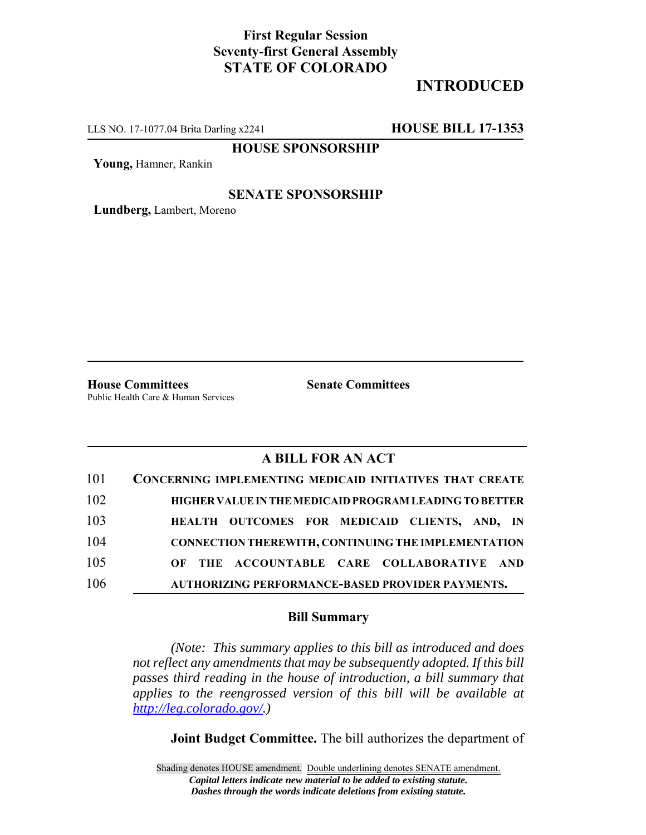# **First Regular Session Seventy-first General Assembly STATE OF COLORADO**

# **INTRODUCED**

LLS NO. 17-1077.04 Brita Darling x2241 **HOUSE BILL 17-1353**

**HOUSE SPONSORSHIP**

**Young,** Hamner, Rankin

### **SENATE SPONSORSHIP**

**Lundberg,** Lambert, Moreno

**House Committees Senate Committees** Public Health Care & Human Services

### **A BILL FOR AN ACT**

| 101 | <b>CONCERNING IMPLEMENTING MEDICAID INITIATIVES THAT CREATE</b> |
|-----|-----------------------------------------------------------------|
| 102 | HIGHER VALUE IN THE MEDICAID PROGRAM LEADING TO BETTER          |
| 103 | HEALTH OUTCOMES FOR MEDICAID CLIENTS, AND, IN                   |
| 104 | <b>CONNECTION THEREWITH, CONTINUING THE IMPLEMENTATION</b>      |
| 105 | OF THE ACCOUNTABLE CARE COLLABORATIVE AND                       |
| 106 | AUTHORIZING PERFORMANCE-BASED PROVIDER PAYMENTS.                |

#### **Bill Summary**

*(Note: This summary applies to this bill as introduced and does not reflect any amendments that may be subsequently adopted. If this bill passes third reading in the house of introduction, a bill summary that applies to the reengrossed version of this bill will be available at http://leg.colorado.gov/.)*

**Joint Budget Committee.** The bill authorizes the department of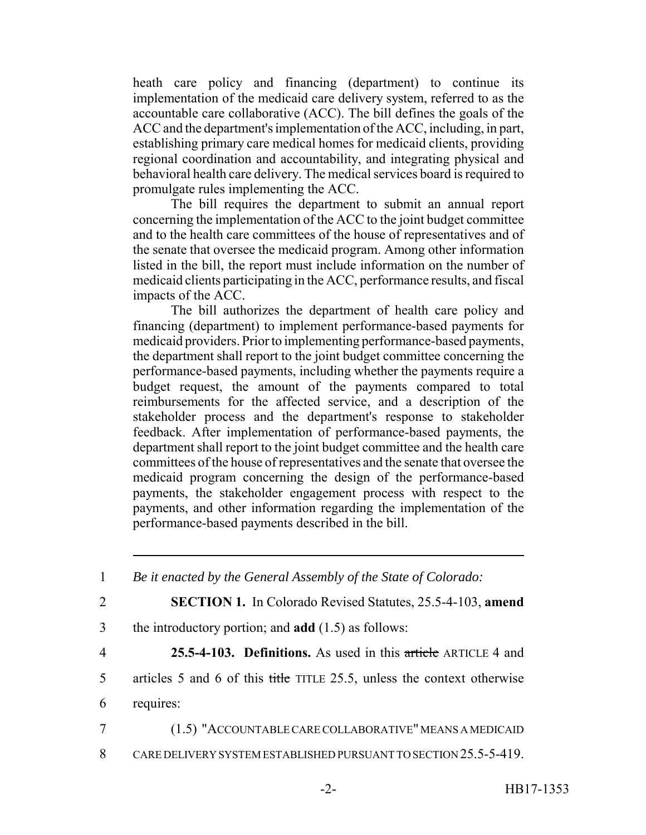heath care policy and financing (department) to continue its implementation of the medicaid care delivery system, referred to as the accountable care collaborative (ACC). The bill defines the goals of the ACC and the department's implementation of the ACC, including, in part, establishing primary care medical homes for medicaid clients, providing regional coordination and accountability, and integrating physical and behavioral health care delivery. The medical services board is required to promulgate rules implementing the ACC.

The bill requires the department to submit an annual report concerning the implementation of the ACC to the joint budget committee and to the health care committees of the house of representatives and of the senate that oversee the medicaid program. Among other information listed in the bill, the report must include information on the number of medicaid clients participating in the ACC, performance results, and fiscal impacts of the ACC.

The bill authorizes the department of health care policy and financing (department) to implement performance-based payments for medicaid providers. Prior to implementing performance-based payments, the department shall report to the joint budget committee concerning the performance-based payments, including whether the payments require a budget request, the amount of the payments compared to total reimbursements for the affected service, and a description of the stakeholder process and the department's response to stakeholder feedback. After implementation of performance-based payments, the department shall report to the joint budget committee and the health care committees of the house of representatives and the senate that oversee the medicaid program concerning the design of the performance-based payments, the stakeholder engagement process with respect to the payments, and other information regarding the implementation of the performance-based payments described in the bill.

<sup>1</sup> *Be it enacted by the General Assembly of the State of Colorado:* 2 **SECTION 1.** In Colorado Revised Statutes, 25.5-4-103, **amend** 3 the introductory portion; and **add** (1.5) as follows: 4 **25.5-4-103. Definitions.** As used in this article ARTICLE 4 and 5 articles 5 and 6 of this title TITLE 25.5, unless the context otherwise 6 requires: 7 (1.5) "ACCOUNTABLE CARE COLLABORATIVE" MEANS A MEDICAID 8 CARE DELIVERY SYSTEM ESTABLISHED PURSUANT TO SECTION 25.5-5-419.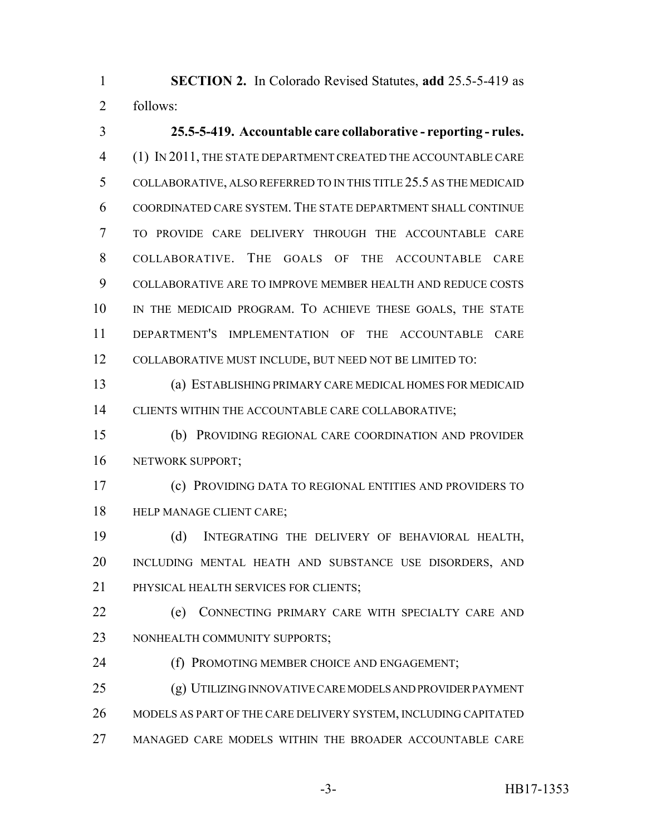**SECTION 2.** In Colorado Revised Statutes, **add** 25.5-5-419 as follows:

 **25.5-5-419. Accountable care collaborative - reporting - rules.** (1) IN 2011, THE STATE DEPARTMENT CREATED THE ACCOUNTABLE CARE COLLABORATIVE, ALSO REFERRED TO IN THIS TITLE 25.5 AS THE MEDICAID COORDINATED CARE SYSTEM. THE STATE DEPARTMENT SHALL CONTINUE TO PROVIDE CARE DELIVERY THROUGH THE ACCOUNTABLE CARE COLLABORATIVE. THE GOALS OF THE ACCOUNTABLE CARE COLLABORATIVE ARE TO IMPROVE MEMBER HEALTH AND REDUCE COSTS IN THE MEDICAID PROGRAM. TO ACHIEVE THESE GOALS, THE STATE DEPARTMENT'S IMPLEMENTATION OF THE ACCOUNTABLE CARE COLLABORATIVE MUST INCLUDE, BUT NEED NOT BE LIMITED TO:

 (a) ESTABLISHING PRIMARY CARE MEDICAL HOMES FOR MEDICAID 14 CLIENTS WITHIN THE ACCOUNTABLE CARE COLLABORATIVE;

 (b) PROVIDING REGIONAL CARE COORDINATION AND PROVIDER 16 NETWORK SUPPORT;

 (c) PROVIDING DATA TO REGIONAL ENTITIES AND PROVIDERS TO HELP MANAGE CLIENT CARE;

 (d) INTEGRATING THE DELIVERY OF BEHAVIORAL HEALTH, INCLUDING MENTAL HEATH AND SUBSTANCE USE DISORDERS, AND PHYSICAL HEALTH SERVICES FOR CLIENTS;

 (e) CONNECTING PRIMARY CARE WITH SPECIALTY CARE AND NONHEALTH COMMUNITY SUPPORTS;

(f) PROMOTING MEMBER CHOICE AND ENGAGEMENT;

 (g) UTILIZING INNOVATIVE CARE MODELS AND PROVIDER PAYMENT MODELS AS PART OF THE CARE DELIVERY SYSTEM, INCLUDING CAPITATED MANAGED CARE MODELS WITHIN THE BROADER ACCOUNTABLE CARE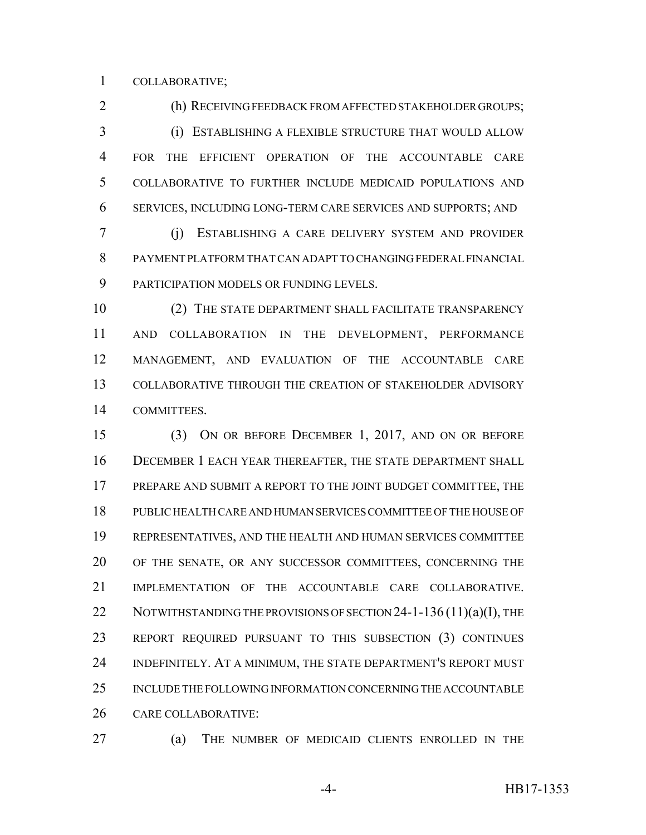COLLABORATIVE;

 (h) RECEIVING FEEDBACK FROM AFFECTED STAKEHOLDER GROUPS; (i) ESTABLISHING A FLEXIBLE STRUCTURE THAT WOULD ALLOW FOR THE EFFICIENT OPERATION OF THE ACCOUNTABLE CARE COLLABORATIVE TO FURTHER INCLUDE MEDICAID POPULATIONS AND SERVICES, INCLUDING LONG-TERM CARE SERVICES AND SUPPORTS; AND

 (j) ESTABLISHING A CARE DELIVERY SYSTEM AND PROVIDER PAYMENT PLATFORM THAT CAN ADAPT TO CHANGING FEDERAL FINANCIAL PARTICIPATION MODELS OR FUNDING LEVELS.

 (2) THE STATE DEPARTMENT SHALL FACILITATE TRANSPARENCY AND COLLABORATION IN THE DEVELOPMENT, PERFORMANCE MANAGEMENT, AND EVALUATION OF THE ACCOUNTABLE CARE COLLABORATIVE THROUGH THE CREATION OF STAKEHOLDER ADVISORY COMMITTEES.

 (3) ON OR BEFORE DECEMBER 1, 2017, AND ON OR BEFORE DECEMBER 1 EACH YEAR THEREAFTER, THE STATE DEPARTMENT SHALL 17 PREPARE AND SUBMIT A REPORT TO THE JOINT BUDGET COMMITTEE, THE PUBLIC HEALTH CARE AND HUMAN SERVICES COMMITTEE OF THE HOUSE OF REPRESENTATIVES, AND THE HEALTH AND HUMAN SERVICES COMMITTEE OF THE SENATE, OR ANY SUCCESSOR COMMITTEES, CONCERNING THE IMPLEMENTATION OF THE ACCOUNTABLE CARE COLLABORATIVE. 22 NOTWITHSTANDING THE PROVISIONS OF SECTION 24-1-136  $(11)(a)(I)$ , THE REPORT REQUIRED PURSUANT TO THIS SUBSECTION (3) CONTINUES INDEFINITELY. AT A MINIMUM, THE STATE DEPARTMENT'S REPORT MUST INCLUDE THE FOLLOWING INFORMATION CONCERNING THE ACCOUNTABLE CARE COLLABORATIVE:

(a) THE NUMBER OF MEDICAID CLIENTS ENROLLED IN THE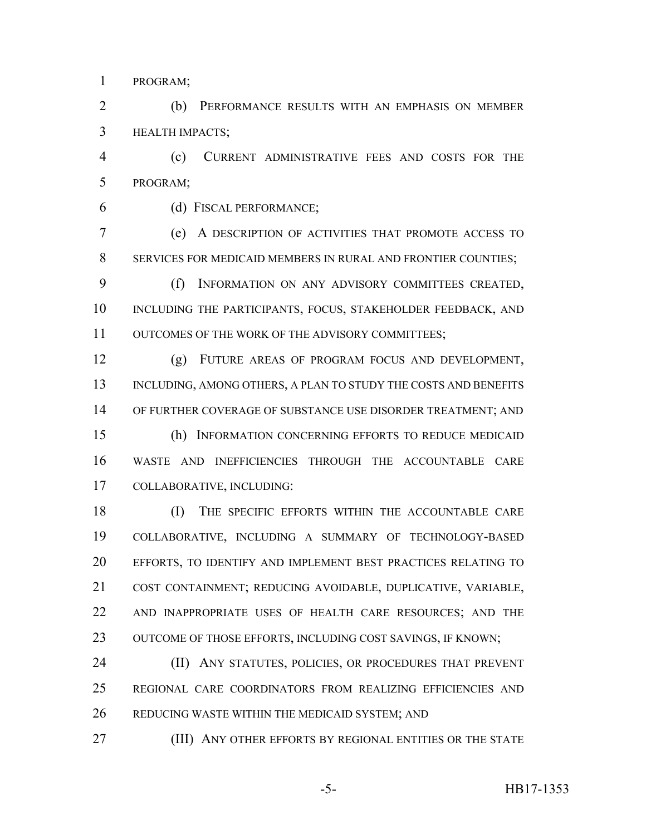PROGRAM;

 (b) PERFORMANCE RESULTS WITH AN EMPHASIS ON MEMBER HEALTH IMPACTS;

 (c) CURRENT ADMINISTRATIVE FEES AND COSTS FOR THE PROGRAM;

(d) FISCAL PERFORMANCE;

 (e) A DESCRIPTION OF ACTIVITIES THAT PROMOTE ACCESS TO SERVICES FOR MEDICAID MEMBERS IN RURAL AND FRONTIER COUNTIES;

 (f) INFORMATION ON ANY ADVISORY COMMITTEES CREATED, INCLUDING THE PARTICIPANTS, FOCUS, STAKEHOLDER FEEDBACK, AND OUTCOMES OF THE WORK OF THE ADVISORY COMMITTEES;

 (g) FUTURE AREAS OF PROGRAM FOCUS AND DEVELOPMENT, 13 INCLUDING, AMONG OTHERS, A PLAN TO STUDY THE COSTS AND BENEFITS OF FURTHER COVERAGE OF SUBSTANCE USE DISORDER TREATMENT; AND (h) INFORMATION CONCERNING EFFORTS TO REDUCE MEDICAID WASTE AND INEFFICIENCIES THROUGH THE ACCOUNTABLE CARE COLLABORATIVE, INCLUDING:

18 (I) THE SPECIFIC EFFORTS WITHIN THE ACCOUNTABLE CARE COLLABORATIVE, INCLUDING A SUMMARY OF TECHNOLOGY-BASED EFFORTS, TO IDENTIFY AND IMPLEMENT BEST PRACTICES RELATING TO COST CONTAINMENT; REDUCING AVOIDABLE, DUPLICATIVE, VARIABLE, AND INAPPROPRIATE USES OF HEALTH CARE RESOURCES; AND THE 23 OUTCOME OF THOSE EFFORTS, INCLUDING COST SAVINGS, IF KNOWN;

24 (II) ANY STATUTES, POLICIES, OR PROCEDURES THAT PREVENT REGIONAL CARE COORDINATORS FROM REALIZING EFFICIENCIES AND REDUCING WASTE WITHIN THE MEDICAID SYSTEM; AND

**(III) ANY OTHER EFFORTS BY REGIONAL ENTITIES OR THE STATE**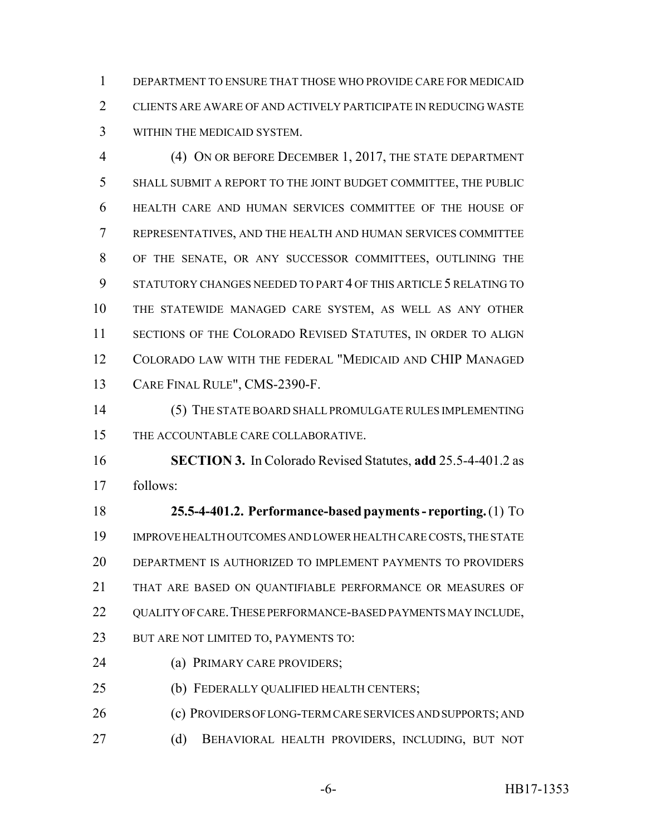DEPARTMENT TO ENSURE THAT THOSE WHO PROVIDE CARE FOR MEDICAID CLIENTS ARE AWARE OF AND ACTIVELY PARTICIPATE IN REDUCING WASTE WITHIN THE MEDICAID SYSTEM.

 (4) ON OR BEFORE DECEMBER 1, 2017, THE STATE DEPARTMENT SHALL SUBMIT A REPORT TO THE JOINT BUDGET COMMITTEE, THE PUBLIC HEALTH CARE AND HUMAN SERVICES COMMITTEE OF THE HOUSE OF REPRESENTATIVES, AND THE HEALTH AND HUMAN SERVICES COMMITTEE OF THE SENATE, OR ANY SUCCESSOR COMMITTEES, OUTLINING THE STATUTORY CHANGES NEEDED TO PART 4 OF THIS ARTICLE 5 RELATING TO THE STATEWIDE MANAGED CARE SYSTEM, AS WELL AS ANY OTHER SECTIONS OF THE COLORADO REVISED STATUTES, IN ORDER TO ALIGN COLORADO LAW WITH THE FEDERAL "MEDICAID AND CHIP MANAGED CARE FINAL RULE", CMS-2390-F.

 (5) THE STATE BOARD SHALL PROMULGATE RULES IMPLEMENTING THE ACCOUNTABLE CARE COLLABORATIVE.

 **SECTION 3.** In Colorado Revised Statutes, **add** 25.5-4-401.2 as follows:

 **25.5-4-401.2. Performance-based payments - reporting.** (1) TO IMPROVE HEALTH OUTCOMES AND LOWER HEALTH CARE COSTS, THE STATE DEPARTMENT IS AUTHORIZED TO IMPLEMENT PAYMENTS TO PROVIDERS THAT ARE BASED ON QUANTIFIABLE PERFORMANCE OR MEASURES OF 22 OUALITY OF CARE. THESE PERFORMANCE-BASED PAYMENTS MAY INCLUDE, BUT ARE NOT LIMITED TO, PAYMENTS TO:

(a) PRIMARY CARE PROVIDERS;

(b) FEDERALLY QUALIFIED HEALTH CENTERS;

(c) PROVIDERS OF LONG-TERM CARE SERVICES AND SUPPORTS; AND

27 (d) BEHAVIORAL HEALTH PROVIDERS, INCLUDING, BUT NOT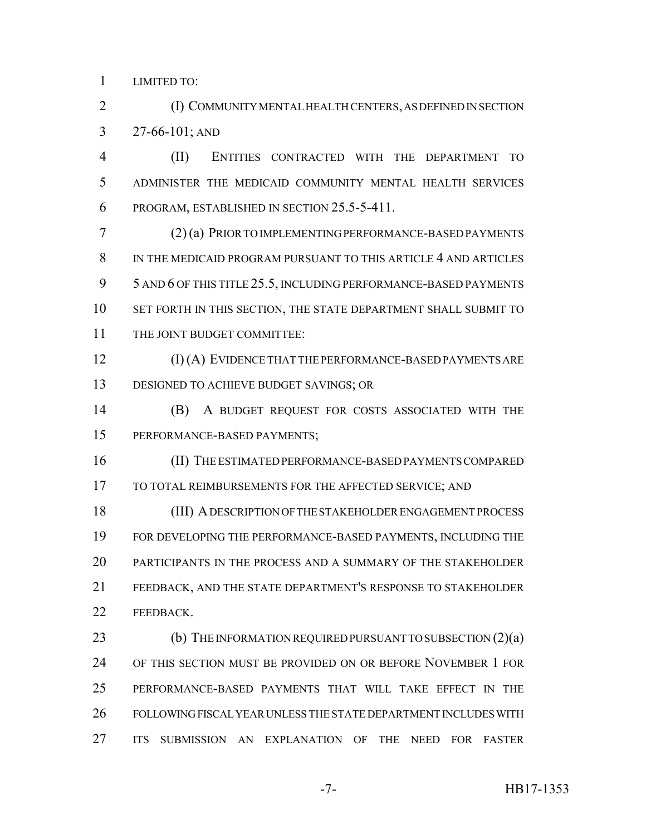LIMITED TO:

 (I) COMMUNITY MENTAL HEALTH CENTERS, AS DEFINED IN SECTION 27-66-101; AND

 (II) ENTITIES CONTRACTED WITH THE DEPARTMENT TO ADMINISTER THE MEDICAID COMMUNITY MENTAL HEALTH SERVICES PROGRAM, ESTABLISHED IN SECTION 25.5-5-411.

 (2) (a) PRIOR TO IMPLEMENTING PERFORMANCE-BASED PAYMENTS IN THE MEDICAID PROGRAM PURSUANT TO THIS ARTICLE 4 AND ARTICLES 5 AND 6 OF THIS TITLE 25.5, INCLUDING PERFORMANCE-BASED PAYMENTS SET FORTH IN THIS SECTION, THE STATE DEPARTMENT SHALL SUBMIT TO 11 THE JOINT BUDGET COMMITTEE:

 (I) (A) EVIDENCE THAT THE PERFORMANCE-BASED PAYMENTS ARE DESIGNED TO ACHIEVE BUDGET SAVINGS; OR

 (B) A BUDGET REQUEST FOR COSTS ASSOCIATED WITH THE PERFORMANCE-BASED PAYMENTS;

 (II) THE ESTIMATED PERFORMANCE-BASED PAYMENTS COMPARED 17 TO TOTAL REIMBURSEMENTS FOR THE AFFECTED SERVICE; AND

 (III) A DESCRIPTION OF THE STAKEHOLDER ENGAGEMENT PROCESS FOR DEVELOPING THE PERFORMANCE-BASED PAYMENTS, INCLUDING THE PARTICIPANTS IN THE PROCESS AND A SUMMARY OF THE STAKEHOLDER FEEDBACK, AND THE STATE DEPARTMENT'S RESPONSE TO STAKEHOLDER 22 FEEDBACK.

**(b)** THE INFORMATION REQUIRED PURSUANT TO SUBSECTION (2)(a) OF THIS SECTION MUST BE PROVIDED ON OR BEFORE NOVEMBER 1 FOR PERFORMANCE-BASED PAYMENTS THAT WILL TAKE EFFECT IN THE FOLLOWING FISCAL YEAR UNLESS THE STATE DEPARTMENT INCLUDES WITH ITS SUBMISSION AN EXPLANATION OF THE NEED FOR FASTER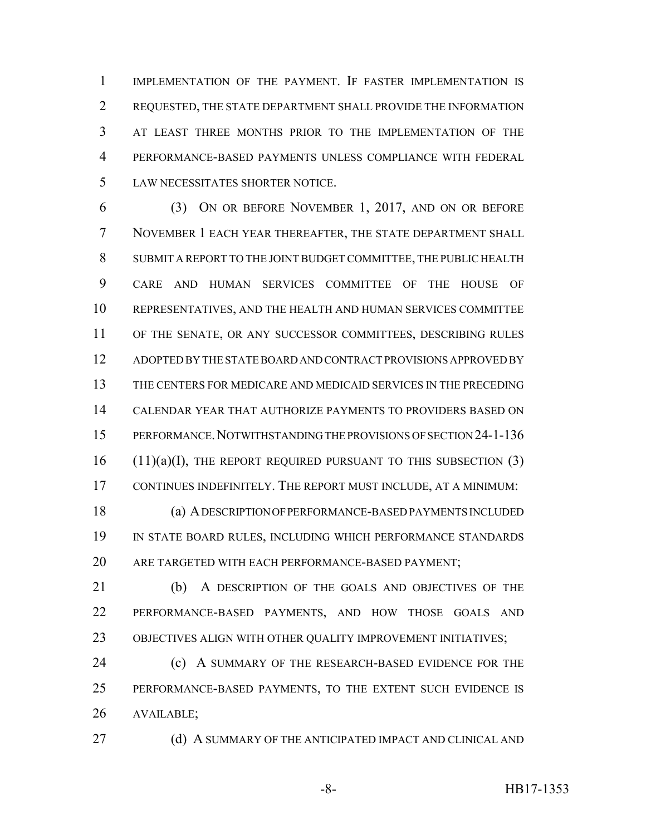IMPLEMENTATION OF THE PAYMENT. IF FASTER IMPLEMENTATION IS REQUESTED, THE STATE DEPARTMENT SHALL PROVIDE THE INFORMATION AT LEAST THREE MONTHS PRIOR TO THE IMPLEMENTATION OF THE PERFORMANCE-BASED PAYMENTS UNLESS COMPLIANCE WITH FEDERAL LAW NECESSITATES SHORTER NOTICE.

 (3) ON OR BEFORE NOVEMBER 1, 2017, AND ON OR BEFORE NOVEMBER 1 EACH YEAR THEREAFTER, THE STATE DEPARTMENT SHALL SUBMIT A REPORT TO THE JOINT BUDGET COMMITTEE, THE PUBLIC HEALTH CARE AND HUMAN SERVICES COMMITTEE OF THE HOUSE OF REPRESENTATIVES, AND THE HEALTH AND HUMAN SERVICES COMMITTEE OF THE SENATE, OR ANY SUCCESSOR COMMITTEES, DESCRIBING RULES ADOPTED BY THE STATE BOARD AND CONTRACT PROVISIONS APPROVED BY THE CENTERS FOR MEDICARE AND MEDICAID SERVICES IN THE PRECEDING CALENDAR YEAR THAT AUTHORIZE PAYMENTS TO PROVIDERS BASED ON PERFORMANCE.NOTWITHSTANDING THE PROVISIONS OF SECTION 24-1-136 (11)(a)(I), THE REPORT REQUIRED PURSUANT TO THIS SUBSECTION (3) CONTINUES INDEFINITELY. THE REPORT MUST INCLUDE, AT A MINIMUM:

 (a) A DESCRIPTION OF PERFORMANCE-BASED PAYMENTS INCLUDED IN STATE BOARD RULES, INCLUDING WHICH PERFORMANCE STANDARDS ARE TARGETED WITH EACH PERFORMANCE-BASED PAYMENT;

 (b) A DESCRIPTION OF THE GOALS AND OBJECTIVES OF THE PERFORMANCE-BASED PAYMENTS, AND HOW THOSE GOALS AND OBJECTIVES ALIGN WITH OTHER QUALITY IMPROVEMENT INITIATIVES;

**(c)** A SUMMARY OF THE RESEARCH-BASED EVIDENCE FOR THE PERFORMANCE-BASED PAYMENTS, TO THE EXTENT SUCH EVIDENCE IS AVAILABLE;

27 (d) A SUMMARY OF THE ANTICIPATED IMPACT AND CLINICAL AND